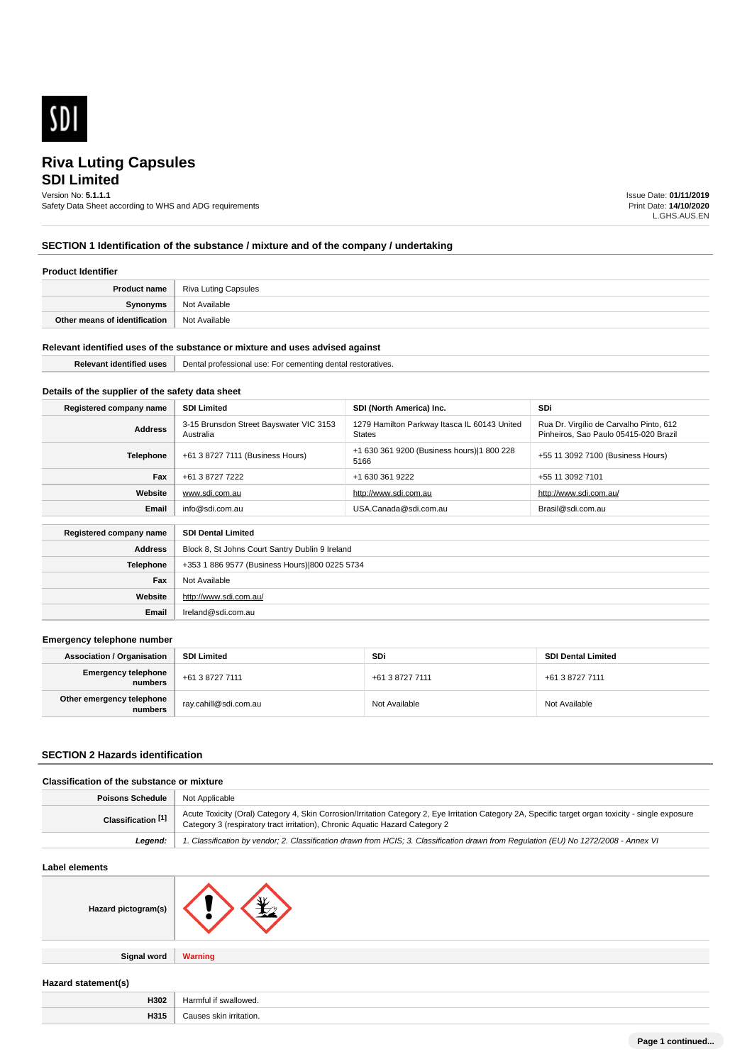

# **SDI Limited Riva Luting Capsules**

# Version No: **5.1.1.1**

Safety Data Sheet according to WHS and ADG requirements

Issue Date: **01/11/2019** Print Date: **14/10/2020** L.GHS.AUS.EN

# **SECTION 1 Identification of the substance / mixture and of the company / undertaking**

## **Product Identifier**

| Product name                  | Riva Luting Capsules |
|-------------------------------|----------------------|
| Synonyms                      | Not Available        |
| Other means of identification | Not Available        |

#### **Relevant identified uses of the substance or mixture and uses advised against**

| <b>Identified</b><br>----- | Der<br>기 restoratives<br>use:<br>profe<br>- -<br>cemer<br>mnc<br>…<br>ssiona<br>A<br>$\cdots$<br>$\mathbf{u}$ |
|----------------------------|---------------------------------------------------------------------------------------------------------------|
|                            |                                                                                                               |

# **Details of the supplier of the safety data sheet**

| Registered company name | <b>SDI Limited</b>                                   | SDI (North America) Inc.                               | <b>SDi</b>                                                                       |
|-------------------------|------------------------------------------------------|--------------------------------------------------------|----------------------------------------------------------------------------------|
| <b>Address</b>          | 3-15 Brunsdon Street Bayswater VIC 3153<br>Australia | 1279 Hamilton Parkway Itasca IL 60143 United<br>States | Rua Dr. Virgílio de Carvalho Pinto, 612<br>Pinheiros, Sao Paulo 05415-020 Brazil |
| Telephone               | +61 3 8727 7111 (Business Hours)                     | +1 630 361 9200 (Business hours) 1 800 228<br>5166     | +55 11 3092 7100 (Business Hours)                                                |
| Fax                     | +61 3 8727 7222                                      | +1 630 361 9222                                        | +55 11 3092 7101                                                                 |
| Website                 | www.sdi.com.au                                       | http://www.sdi.com.au                                  | http://www.sdi.com.au/                                                           |
| Email                   | info@sdi.com.au                                      | USA.Canada@sdi.com.au                                  | Brasil@sdi.com.au                                                                |
|                         |                                                      |                                                        |                                                                                  |
| Registered company name | <b>SDI Dental Limited</b>                            |                                                        |                                                                                  |
| <b>Address</b>          |                                                      | Block 8, St Johns Court Santry Dublin 9 Ireland        |                                                                                  |
| <b>Telephone</b>        | +353 1 886 9577 (Business Hours) 800 0225 5734       |                                                        |                                                                                  |

| Fax     | Not Available          |
|---------|------------------------|
| Website | http://www.sdi.com.au/ |
| Email   | Ireland@sdi.com.au     |
|         |                        |

#### **Emergency telephone number**

| <b>Association / Organisation</b>              | <b>SDI Limited</b>      | SDi             | <b>SDI Dental Limited</b> |
|------------------------------------------------|-------------------------|-----------------|---------------------------|
| <b>Emergency telephone</b><br><b> </b> numbers | +61 3 8727 7111         | +61 3 8727 7111 | +61 3 8727 7111           |
| Other emergency telephone<br>numbers           | ` ray.cahill@sdi.com.au | Not Available   | Not Available             |

## **SECTION 2 Hazards identification**

## **Classification of the substance or mixture**

| <b>Poisons Schedule</b>   Not Applicable |                                                                                                                                                                                                                                      |
|------------------------------------------|--------------------------------------------------------------------------------------------------------------------------------------------------------------------------------------------------------------------------------------|
| Classification <sup>[1]</sup>            | Acute Toxicity (Oral) Category 4, Skin Corrosion/Irritation Category 2, Eye Irritation Category 2A, Specific target organ toxicity - single exposure<br>Category 3 (respiratory tract irritation), Chronic Aquatic Hazard Category 2 |
| Leaend:                                  | 1. Classification by vendor; 2. Classification drawn from HCIS; 3. Classification drawn from Regulation (EU) No 1272/2008 - Annex VI                                                                                                 |

#### **Label elements**

| Hazard pictogram(s) |  |
|---------------------|--|
|                     |  |

**Signal word Warning**

| Hazard statement(s) |  |
|---------------------|--|

| H302 | $H$ $C$<br>Harmfu<br><br>. |
|------|----------------------------|
| H315 | $\sim$<br>*ritation.       |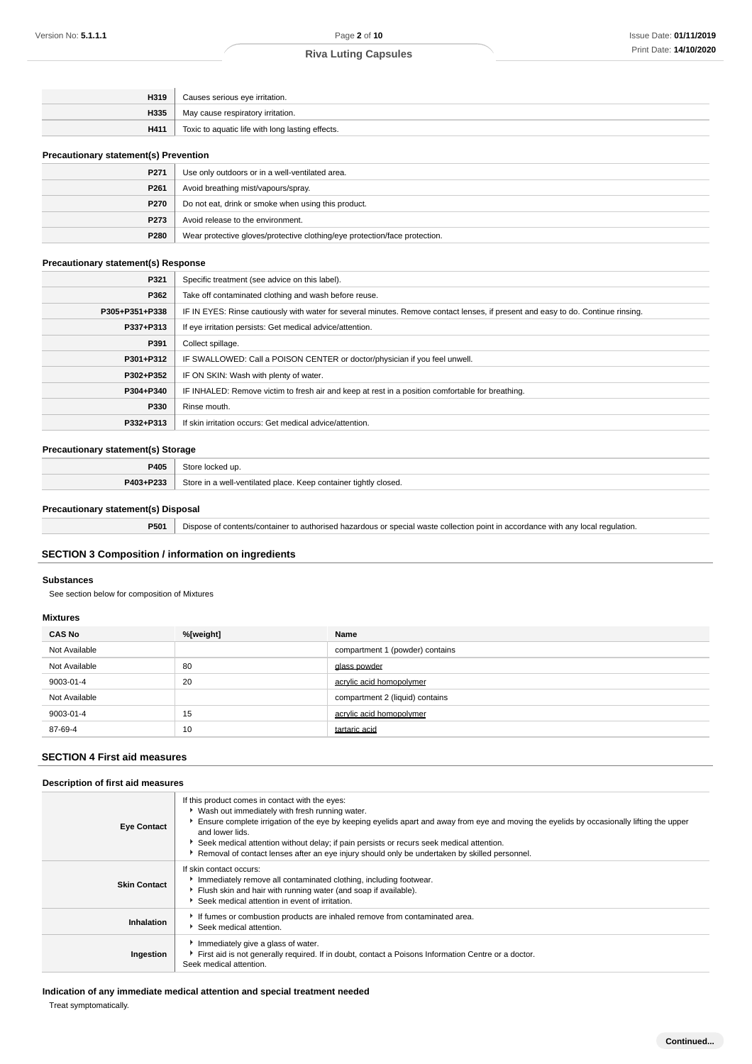| H319 | Causes serious eye irritation.                   |
|------|--------------------------------------------------|
| H335 | May cause respiratory irritation.                |
| H411 | Toxic to aquatic life with long lasting effects. |
|      |                                                  |

### **Precautionary statement(s) Prevention**

| P271             | Use only outdoors or in a well-ventilated area.                            |
|------------------|----------------------------------------------------------------------------|
| P <sub>261</sub> | Avoid breathing mist/vapours/spray.                                        |
| P270             | Do not eat, drink or smoke when using this product.                        |
| P273             | Avoid release to the environment.                                          |
| P280             | Wear protective gloves/protective clothing/eye protection/face protection. |

## **Precautionary statement(s) Response**

| P321           | Specific treatment (see advice on this label).                                                                                   |
|----------------|----------------------------------------------------------------------------------------------------------------------------------|
| P362           | Take off contaminated clothing and wash before reuse.                                                                            |
| P305+P351+P338 | IF IN EYES: Rinse cautiously with water for several minutes. Remove contact lenses, if present and easy to do. Continue rinsing. |
| P337+P313      | If eye irritation persists: Get medical advice/attention.                                                                        |
| P391           | Collect spillage.                                                                                                                |
| P301+P312      | IF SWALLOWED: Call a POISON CENTER or doctor/physician if you feel unwell.                                                       |
| P302+P352      | IF ON SKIN: Wash with plenty of water.                                                                                           |
| P304+P340      | IF INHALED: Remove victim to fresh air and keep at rest in a position comfortable for breathing.                                 |
| P330           | Rinse mouth.                                                                                                                     |
| P332+P313      | If skin irritation occurs: Get medical advice/attention.                                                                         |

## **Precautionary statement(s) Storage**

| P405                                   | store.<br>$\sim$<br>.                                                                                   |
|----------------------------------------|---------------------------------------------------------------------------------------------------------|
| . <b>Then</b><br><b>DA03</b><br>$\sim$ | Store<br>tightly<br>container<br>closed.<br>I-ventilated place<br>$\mathsf{m} \circ \mathsf{m}$<br>Keep |

## **Precautionary statement(s) Disposal**

**P501** Dispose of contents/container to authorised hazardous or special waste collection point in accordance with any local regulation.

## **SECTION 3 Composition / information on ingredients**

#### **Substances**

See section below for composition of Mixtures

## **Mixtures**

| <b>CAS No</b> | %[weight] | Name                            |  |
|---------------|-----------|---------------------------------|--|
| Not Available |           | compartment 1 (powder) contains |  |
| Not Available | 80        | glass powder                    |  |
| 9003-01-4     | 20        | acrylic acid homopolymer        |  |
| Not Available |           | compartment 2 (liquid) contains |  |
| 9003-01-4     | 15        | acrylic acid homopolymer        |  |
| 87-69-4       | 10        | tartaric acid                   |  |

# **SECTION 4 First aid measures**

### **Description of first aid measures**

| <b>Eye Contact</b>  | If this product comes in contact with the eyes:<br>• Wash out immediately with fresh running water.<br>Ensure complete irrigation of the eye by keeping eyelids apart and away from eye and moving the eyelids by occasionally lifting the upper<br>and lower lids.<br>Seek medical attention without delay; if pain persists or recurs seek medical attention.<br>▶ Removal of contact lenses after an eye injury should only be undertaken by skilled personnel. |
|---------------------|--------------------------------------------------------------------------------------------------------------------------------------------------------------------------------------------------------------------------------------------------------------------------------------------------------------------------------------------------------------------------------------------------------------------------------------------------------------------|
| <b>Skin Contact</b> | If skin contact occurs:<br>Inmediately remove all contaminated clothing, including footwear.<br>Flush skin and hair with running water (and soap if available).<br>Seek medical attention in event of irritation.                                                                                                                                                                                                                                                  |
| Inhalation          | If fumes or combustion products are inhaled remove from contaminated area.<br>Seek medical attention.                                                                                                                                                                                                                                                                                                                                                              |
| Ingestion           | Immediately give a glass of water.<br>First aid is not generally required. If in doubt, contact a Poisons Information Centre or a doctor.<br>Seek medical attention.                                                                                                                                                                                                                                                                                               |

### **Indication of any immediate medical attention and special treatment needed**

Treat symptomatically.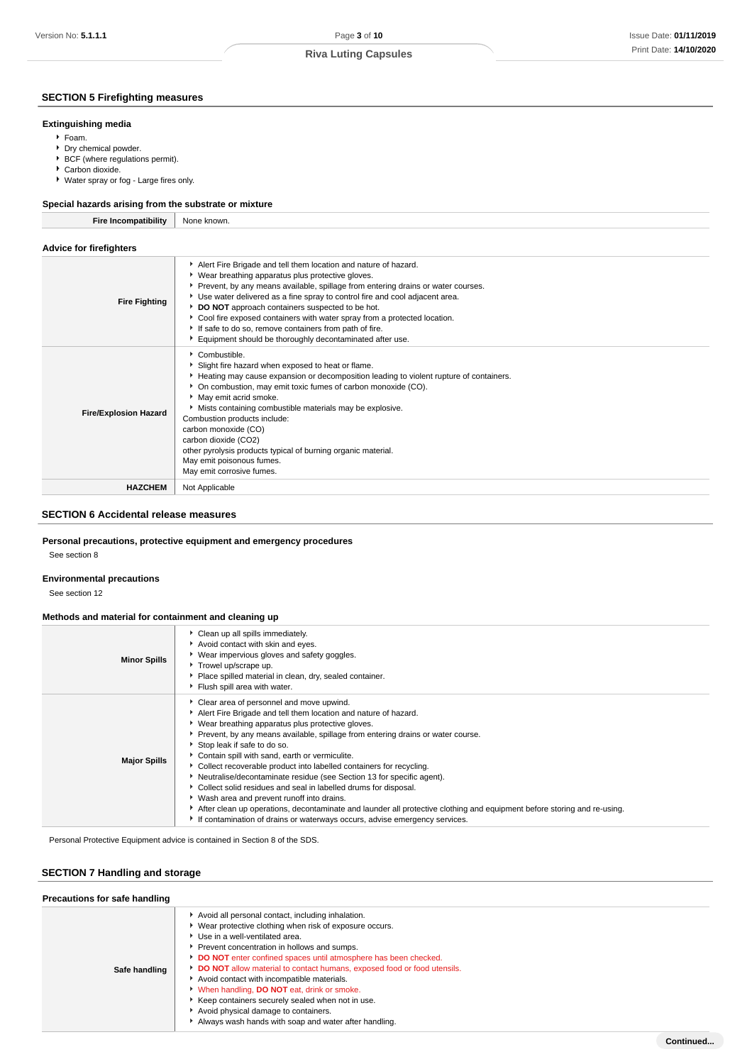## **SECTION 5 Firefighting measures**

#### **Extinguishing media**

- Foam.
- **Dry chemical powder.**
- ▶ BCF (where regulations permit).
- Carbon dioxide.
- Water spray or fog Large fires only.

# **Special hazards arising from the substrate or mixture**

| <b>Fire Incompatibility</b>                                                          | None known.                                                                        |
|--------------------------------------------------------------------------------------|------------------------------------------------------------------------------------|
|                                                                                      |                                                                                    |
| Advice for firefighters                                                              |                                                                                    |
|                                                                                      | Alert Fire Brigade and tell them location and nature of hazard.                    |
|                                                                                      | • Wear breathing apparatus plus protective gloves.                                 |
|                                                                                      | ▶ Prevent, by any means available, spillage from entering drains or water courses. |
| the committee of the committee of the committee of the committee of the committee of | Use water delivered as a fine spray to control fire and cool adjacent area.        |

| <b>Fire Fighting</b>         | ove mater delivered do a line opiay to control incluita cool dajacciit dica.<br>DO NOT approach containers suspected to be hot.<br>▶ Cool fire exposed containers with water spray from a protected location.<br>If safe to do so, remove containers from path of fire.<br>Equipment should be thoroughly decontaminated after use.                                                                                                                                                                                             |
|------------------------------|---------------------------------------------------------------------------------------------------------------------------------------------------------------------------------------------------------------------------------------------------------------------------------------------------------------------------------------------------------------------------------------------------------------------------------------------------------------------------------------------------------------------------------|
| <b>Fire/Explosion Hazard</b> | Combustible.<br>Slight fire hazard when exposed to heat or flame.<br>Heating may cause expansion or decomposition leading to violent rupture of containers.<br>• On combustion, may emit toxic fumes of carbon monoxide (CO).<br>May emit acrid smoke.<br>• Mists containing combustible materials may be explosive.<br>Combustion products include:<br>carbon monoxide (CO)<br>carbon dioxide (CO2)<br>other pyrolysis products typical of burning organic material.<br>May emit poisonous fumes.<br>May emit corrosive fumes. |
| <b>HAZCHEM</b>               | Not Applicable                                                                                                                                                                                                                                                                                                                                                                                                                                                                                                                  |

### **SECTION 6 Accidental release measures**

### **Personal precautions, protective equipment and emergency procedures**

See section 8

# **Environmental precautions**

See section 12

### **Methods and material for containment and cleaning up**

| <b>Minor Spills</b> | Clean up all spills immediately.<br>Avoid contact with skin and eyes.<br>▶ Wear impervious gloves and safety goggles.<br>Trowel up/scrape up.<br>Place spilled material in clean, dry, sealed container.<br>Flush spill area with water.                                                                                                                                                                                                                                                                                                                                                                                                                                                                                                                                                                                 |
|---------------------|--------------------------------------------------------------------------------------------------------------------------------------------------------------------------------------------------------------------------------------------------------------------------------------------------------------------------------------------------------------------------------------------------------------------------------------------------------------------------------------------------------------------------------------------------------------------------------------------------------------------------------------------------------------------------------------------------------------------------------------------------------------------------------------------------------------------------|
| <b>Major Spills</b> | • Clear area of personnel and move upwind.<br>Alert Fire Brigade and tell them location and nature of hazard.<br>▶ Wear breathing apparatus plus protective gloves.<br>▶ Prevent, by any means available, spillage from entering drains or water course.<br>Stop leak if safe to do so.<br>Contain spill with sand, earth or vermiculite.<br>▶ Collect recoverable product into labelled containers for recycling.<br>Neutralise/decontaminate residue (see Section 13 for specific agent).<br>▶ Collect solid residues and seal in labelled drums for disposal.<br>▶ Wash area and prevent runoff into drains.<br>After clean up operations, decontaminate and launder all protective clothing and equipment before storing and re-using.<br>If contamination of drains or waterways occurs, advise emergency services. |

Personal Protective Equipment advice is contained in Section 8 of the SDS.

## **SECTION 7 Handling and storage**

| Precautions for safe handling |                                                                                                                                                                                                                                                                                                                                                                                                                                                                                                                                                                                                 |  |  |  |
|-------------------------------|-------------------------------------------------------------------------------------------------------------------------------------------------------------------------------------------------------------------------------------------------------------------------------------------------------------------------------------------------------------------------------------------------------------------------------------------------------------------------------------------------------------------------------------------------------------------------------------------------|--|--|--|
| Safe handling                 | Avoid all personal contact, including inhalation.<br>▶ Wear protective clothing when risk of exposure occurs.<br>Use in a well-ventilated area.<br>Prevent concentration in hollows and sumps.<br>DO NOT enter confined spaces until atmosphere has been checked.<br>DO NOT allow material to contact humans, exposed food or food utensils.<br>Avoid contact with incompatible materials.<br>V When handling, DO NOT eat, drink or smoke.<br>Keep containers securely sealed when not in use.<br>Avoid physical damage to containers.<br>Always wash hands with soap and water after handling. |  |  |  |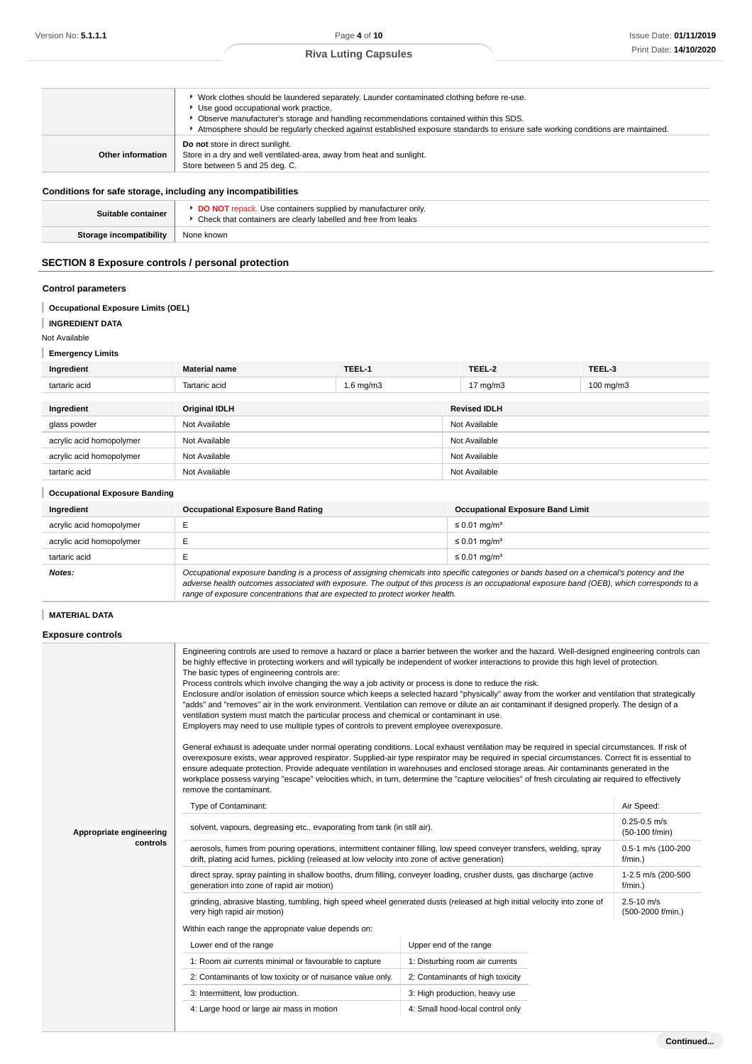|                   | ▶ Work clothes should be laundered separately. Launder contaminated clothing before re-use.<br>Use good occupational work practice.<br>▶ Observe manufacturer's storage and handling recommendations contained within this SDS.<br>Atmosphere should be regularly checked against established exposure standards to ensure safe working conditions are maintained. |
|-------------------|--------------------------------------------------------------------------------------------------------------------------------------------------------------------------------------------------------------------------------------------------------------------------------------------------------------------------------------------------------------------|
| Other information | Do not store in direct sunlight.<br>Store in a dry and well ventilated-area, away from heat and sunlight.<br>Store between 5 and 25 deg. C.                                                                                                                                                                                                                        |

## **Conditions for safe storage, including any incompatibilities**

| Suitable container             | <b>DO NOT</b> repack. Use containers supplied by manufacturer only<br>▶ Check that containers are clearly labelled and free from leaks |
|--------------------------------|----------------------------------------------------------------------------------------------------------------------------------------|
| <b>Storage incompatibility</b> | None known                                                                                                                             |
|                                |                                                                                                                                        |

## **SECTION 8 Exposure controls / personal protection**

## **Control parameters**

- **Occupational Exposure Limits (OEL)**
- **INGREDIENT DATA**

## Not Available

# **Emergency Limits**

| Ingredient               | <b>Material name</b> | TEEL-1         | TEEL-2              | TEEL-3         |
|--------------------------|----------------------|----------------|---------------------|----------------|
| tartaric acid            | Tartaric acid        | $1.6$ mg/m $3$ | $17 \text{ mg/m}$ 3 | $100$ mg/m $3$ |
| Ingredient               | <b>Original IDLH</b> |                | <b>Revised IDLH</b> |                |
|                          |                      |                |                     |                |
| glass powder             | Not Available        |                | Not Available       |                |
| acrylic acid homopolymer | Not Available        |                | Not Available       |                |
| acrylic acid homopolymer | Not Available        |                | Not Available       |                |
| tartaric acid            | Not Available        |                | Not Available       |                |

| <b>Occupational Exposure Banding</b> |                                                                                                                                                                                                                                                                                          |                                         |  |  |
|--------------------------------------|------------------------------------------------------------------------------------------------------------------------------------------------------------------------------------------------------------------------------------------------------------------------------------------|-----------------------------------------|--|--|
| Ingredient                           | <b>Occupational Exposure Band Rating</b>                                                                                                                                                                                                                                                 | <b>Occupational Exposure Band Limit</b> |  |  |
| acrylic acid homopolymer             |                                                                                                                                                                                                                                                                                          | $\leq$ 0.01 mg/m <sup>3</sup>           |  |  |
| acrylic acid homopolymer             |                                                                                                                                                                                                                                                                                          | $\leq$ 0.01 mg/m <sup>3</sup>           |  |  |
| tartaric acid                        |                                                                                                                                                                                                                                                                                          | $\leq$ 0.01 mg/m <sup>3</sup>           |  |  |
| Notes:                               | Occupational exposure banding is a process of assigning chemicals into specific categories or bands based on a chemical's potency and the<br>adverse health outcomes associated with exposure. The output of this process is an occupational exposure hand (OFB), which corresponds to a |                                         |  |  |

adverse health outcomes associated with exposure. The output of this process is an occupational exposure band (OEB), which corresponds to a range of exposure concentrations that are expected to protect worker health.

# **MATERIAL DATA**

#### **Exposure controls**

|                         | Engineering controls are used to remove a hazard or place a barrier between the worker and the hazard. Well-designed engineering controls can<br>be highly effective in protecting workers and will typically be independent of worker interactions to provide this high level of protection.<br>The basic types of engineering controls are:<br>Process controls which involve changing the way a job activity or process is done to reduce the risk.<br>Enclosure and/or isolation of emission source which keeps a selected hazard "physically" away from the worker and ventilation that strategically<br>"adds" and "removes" air in the work environment. Ventilation can remove or dilute an air contaminant if designed properly. The design of a<br>ventilation system must match the particular process and chemical or contaminant in use.<br>Employers may need to use multiple types of controls to prevent employee overexposure.<br>General exhaust is adequate under normal operating conditions. Local exhaust ventilation may be required in special circumstances. If risk of<br>overexposure exists, wear approved respirator. Supplied-air type respirator may be required in special circumstances. Correct fit is essential to<br>ensure adequate protection. Provide adequate ventilation in warehouses and enclosed storage areas. Air contaminants generated in the<br>workplace possess varying "escape" velocities which, in turn, determine the "capture velocities" of fresh circulating air required to effectively<br>remove the contaminant. |                                    |                                     |  |  |
|-------------------------|-------------------------------------------------------------------------------------------------------------------------------------------------------------------------------------------------------------------------------------------------------------------------------------------------------------------------------------------------------------------------------------------------------------------------------------------------------------------------------------------------------------------------------------------------------------------------------------------------------------------------------------------------------------------------------------------------------------------------------------------------------------------------------------------------------------------------------------------------------------------------------------------------------------------------------------------------------------------------------------------------------------------------------------------------------------------------------------------------------------------------------------------------------------------------------------------------------------------------------------------------------------------------------------------------------------------------------------------------------------------------------------------------------------------------------------------------------------------------------------------------------------------------------------------------------------------------------|------------------------------------|-------------------------------------|--|--|
|                         | Type of Contaminant:                                                                                                                                                                                                                                                                                                                                                                                                                                                                                                                                                                                                                                                                                                                                                                                                                                                                                                                                                                                                                                                                                                                                                                                                                                                                                                                                                                                                                                                                                                                                                          | Air Speed:                         |                                     |  |  |
| Appropriate engineering | solvent, vapours, degreasing etc., evaporating from tank (in still air).                                                                                                                                                                                                                                                                                                                                                                                                                                                                                                                                                                                                                                                                                                                                                                                                                                                                                                                                                                                                                                                                                                                                                                                                                                                                                                                                                                                                                                                                                                      | $0.25 - 0.5$ m/s<br>(50-100 f/min) |                                     |  |  |
| controls                | aerosols, fumes from pouring operations, intermittent container filling, low speed conveyer transfers, welding, spray<br>drift, plating acid fumes, pickling (released at low velocity into zone of active generation)                                                                                                                                                                                                                                                                                                                                                                                                                                                                                                                                                                                                                                                                                                                                                                                                                                                                                                                                                                                                                                                                                                                                                                                                                                                                                                                                                        | 0.5-1 m/s (100-200<br>$f/min.$ )   |                                     |  |  |
|                         | direct spray, spray painting in shallow booths, drum filling, conveyer loading, crusher dusts, gas discharge (active<br>generation into zone of rapid air motion)                                                                                                                                                                                                                                                                                                                                                                                                                                                                                                                                                                                                                                                                                                                                                                                                                                                                                                                                                                                                                                                                                                                                                                                                                                                                                                                                                                                                             | 1-2.5 m/s (200-500<br>$f/min.$ )   |                                     |  |  |
|                         | grinding, abrasive blasting, tumbling, high speed wheel generated dusts (released at high initial velocity into zone of<br>very high rapid air motion)                                                                                                                                                                                                                                                                                                                                                                                                                                                                                                                                                                                                                                                                                                                                                                                                                                                                                                                                                                                                                                                                                                                                                                                                                                                                                                                                                                                                                        |                                    | $2.5 - 10$ m/s<br>(500-2000 f/min.) |  |  |
|                         | Within each range the appropriate value depends on:                                                                                                                                                                                                                                                                                                                                                                                                                                                                                                                                                                                                                                                                                                                                                                                                                                                                                                                                                                                                                                                                                                                                                                                                                                                                                                                                                                                                                                                                                                                           |                                    |                                     |  |  |
|                         | Lower end of the range                                                                                                                                                                                                                                                                                                                                                                                                                                                                                                                                                                                                                                                                                                                                                                                                                                                                                                                                                                                                                                                                                                                                                                                                                                                                                                                                                                                                                                                                                                                                                        | Upper end of the range             |                                     |  |  |
|                         | 1: Room air currents minimal or favourable to capture                                                                                                                                                                                                                                                                                                                                                                                                                                                                                                                                                                                                                                                                                                                                                                                                                                                                                                                                                                                                                                                                                                                                                                                                                                                                                                                                                                                                                                                                                                                         | 1: Disturbing room air currents    |                                     |  |  |
|                         | 2: Contaminants of low toxicity or of nuisance value only.                                                                                                                                                                                                                                                                                                                                                                                                                                                                                                                                                                                                                                                                                                                                                                                                                                                                                                                                                                                                                                                                                                                                                                                                                                                                                                                                                                                                                                                                                                                    | 2: Contaminants of high toxicity   |                                     |  |  |
|                         | 3: Intermittent, low production.                                                                                                                                                                                                                                                                                                                                                                                                                                                                                                                                                                                                                                                                                                                                                                                                                                                                                                                                                                                                                                                                                                                                                                                                                                                                                                                                                                                                                                                                                                                                              | 3: High production, heavy use      |                                     |  |  |
|                         | 4: Large hood or large air mass in motion                                                                                                                                                                                                                                                                                                                                                                                                                                                                                                                                                                                                                                                                                                                                                                                                                                                                                                                                                                                                                                                                                                                                                                                                                                                                                                                                                                                                                                                                                                                                     | 4: Small hood-local control only   |                                     |  |  |
|                         |                                                                                                                                                                                                                                                                                                                                                                                                                                                                                                                                                                                                                                                                                                                                                                                                                                                                                                                                                                                                                                                                                                                                                                                                                                                                                                                                                                                                                                                                                                                                                                               |                                    |                                     |  |  |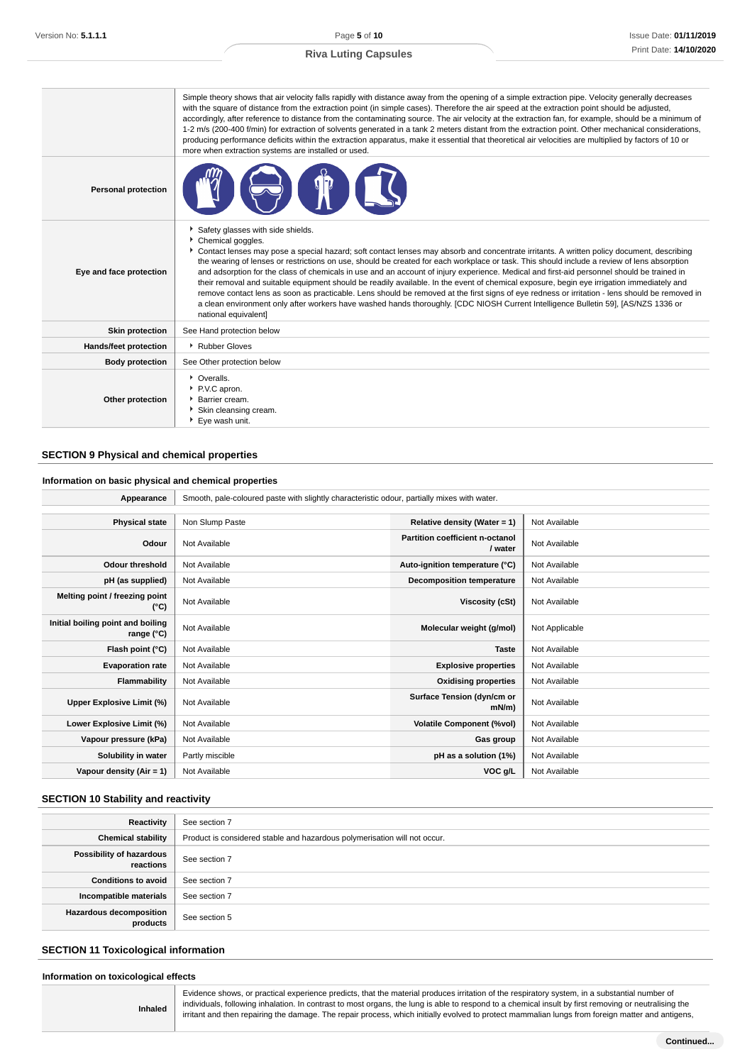|                            | Simple theory shows that air velocity falls rapidly with distance away from the opening of a simple extraction pipe. Velocity generally decreases<br>with the square of distance from the extraction point (in simple cases). Therefore the air speed at the extraction point should be adjusted,<br>accordingly, after reference to distance from the contaminating source. The air velocity at the extraction fan, for example, should be a minimum of<br>1-2 m/s (200-400 f/min) for extraction of solvents generated in a tank 2 meters distant from the extraction point. Other mechanical considerations,<br>producing performance deficits within the extraction apparatus, make it essential that theoretical air velocities are multiplied by factors of 10 or<br>more when extraction systems are installed or used.                                                                                                                                |
|----------------------------|---------------------------------------------------------------------------------------------------------------------------------------------------------------------------------------------------------------------------------------------------------------------------------------------------------------------------------------------------------------------------------------------------------------------------------------------------------------------------------------------------------------------------------------------------------------------------------------------------------------------------------------------------------------------------------------------------------------------------------------------------------------------------------------------------------------------------------------------------------------------------------------------------------------------------------------------------------------|
| <b>Personal protection</b> |                                                                                                                                                                                                                                                                                                                                                                                                                                                                                                                                                                                                                                                                                                                                                                                                                                                                                                                                                               |
| Eye and face protection    | Safety glasses with side shields.<br>Chemical goggles.<br>Contact lenses may pose a special hazard; soft contact lenses may absorb and concentrate irritants. A written policy document, describing<br>the wearing of lenses or restrictions on use, should be created for each workplace or task. This should include a review of lens absorption<br>and adsorption for the class of chemicals in use and an account of injury experience. Medical and first-aid personnel should be trained in<br>their removal and suitable equipment should be readily available. In the event of chemical exposure, begin eye irrigation immediately and<br>remove contact lens as soon as practicable. Lens should be removed at the first signs of eye redness or irritation - lens should be removed in<br>a clean environment only after workers have washed hands thoroughly. [CDC NIOSH Current Intelligence Bulletin 59], [AS/NZS 1336 or<br>national equivalent] |
| <b>Skin protection</b>     | See Hand protection below                                                                                                                                                                                                                                                                                                                                                                                                                                                                                                                                                                                                                                                                                                                                                                                                                                                                                                                                     |
| Hands/feet protection      | Rubber Gloves                                                                                                                                                                                                                                                                                                                                                                                                                                                                                                                                                                                                                                                                                                                                                                                                                                                                                                                                                 |
| <b>Body protection</b>     | See Other protection below                                                                                                                                                                                                                                                                                                                                                                                                                                                                                                                                                                                                                                                                                                                                                                                                                                                                                                                                    |
| Other protection           | • Overalls.<br>P.V.C apron.<br>▶ Barrier cream.<br>Skin cleansing cream.<br>Eye wash unit.                                                                                                                                                                                                                                                                                                                                                                                                                                                                                                                                                                                                                                                                                                                                                                                                                                                                    |

# **SECTION 9 Physical and chemical properties**

### **Information on basic physical and chemical properties**

| Appearance                                      | Smooth, pale-coloured paste with slightly characteristic odour, partially mixes with water. |                                            |                |
|-------------------------------------------------|---------------------------------------------------------------------------------------------|--------------------------------------------|----------------|
|                                                 |                                                                                             |                                            |                |
| <b>Physical state</b>                           | Non Slump Paste                                                                             | Relative density (Water = 1)               | Not Available  |
| Odour                                           | Not Available                                                                               | Partition coefficient n-octanol<br>/ water | Not Available  |
| <b>Odour threshold</b>                          | Not Available                                                                               | Auto-ignition temperature (°C)             | Not Available  |
| pH (as supplied)                                | Not Available                                                                               | <b>Decomposition temperature</b>           | Not Available  |
| Melting point / freezing point<br>(°C)          | Not Available                                                                               | Viscosity (cSt)                            | Not Available  |
| Initial boiling point and boiling<br>range (°C) | Not Available                                                                               | Molecular weight (g/mol)                   | Not Applicable |
| Flash point (°C)                                | Not Available                                                                               | <b>Taste</b>                               | Not Available  |
| <b>Evaporation rate</b>                         | Not Available                                                                               | <b>Explosive properties</b>                | Not Available  |
| Flammability                                    | Not Available                                                                               | <b>Oxidising properties</b>                | Not Available  |
| Upper Explosive Limit (%)                       | Not Available                                                                               | Surface Tension (dyn/cm or<br>$mN/m$ )     | Not Available  |
| Lower Explosive Limit (%)                       | Not Available                                                                               | <b>Volatile Component (%vol)</b>           | Not Available  |
| Vapour pressure (kPa)                           | Not Available                                                                               | Gas group                                  | Not Available  |
| Solubility in water                             | Partly miscible                                                                             | pH as a solution (1%)                      | Not Available  |
| Vapour density $(Air = 1)$                      | Not Available                                                                               | VOC g/L                                    | Not Available  |

# **SECTION 10 Stability and reactivity**

| Reactivity                                 | See section 7                                                             |
|--------------------------------------------|---------------------------------------------------------------------------|
| <b>Chemical stability</b>                  | Product is considered stable and hazardous polymerisation will not occur. |
| Possibility of hazardous<br>reactions      | See section 7                                                             |
| <b>Conditions to avoid</b>                 | See section 7                                                             |
| Incompatible materials                     | See section 7                                                             |
| <b>Hazardous decomposition</b><br>products | See section 5                                                             |

# **SECTION 11 Toxicological information**

**Inhaled**

Evidence shows, or practical experience predicts, that the material produces irritation of the respiratory system, in a substantial number of individuals, following inhalation. In contrast to most organs, the lung is able to respond to a chemical insult by first removing or neutralising the irritant and then repairing the damage. The repair process, which initially evolved to protect mammalian lungs from foreign matter and antigens,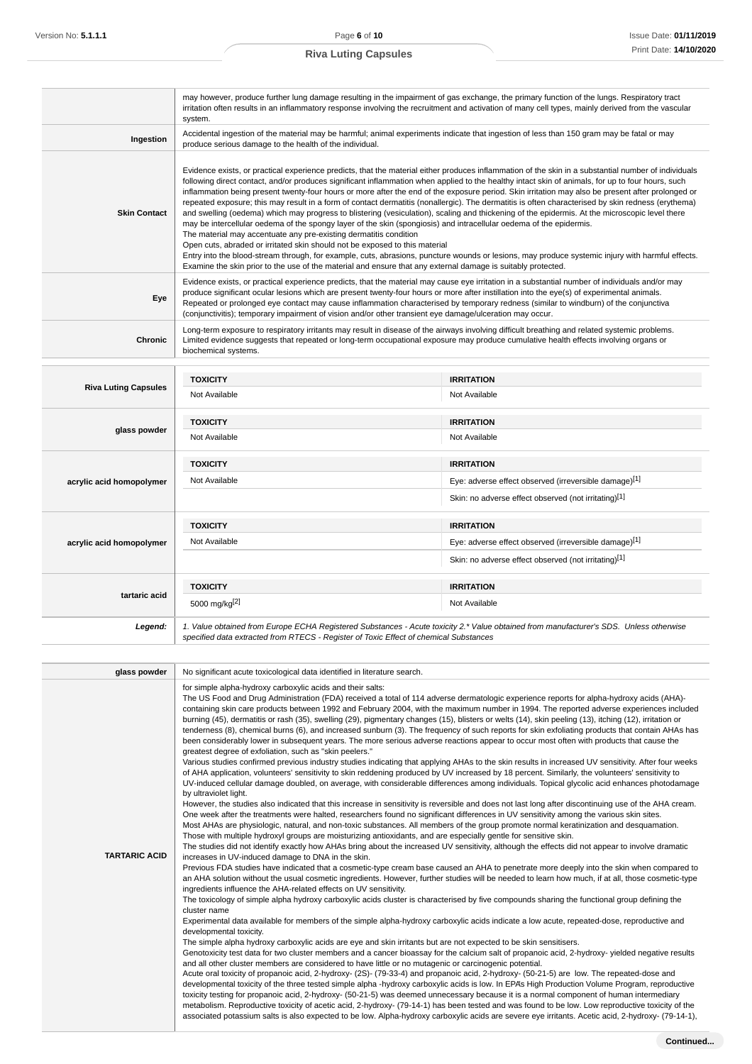|                             | may however, produce further lung damage resulting in the impairment of gas exchange, the primary function of the lungs. Respiratory tract<br>irritation often results in an inflammatory response involving the recruitment and activation of many cell types, mainly derived from the vascular<br>system.                                                                                                                                                                                                                                                                                                                                                                                                                                                                                                                                                                                                                                                                                                                                                                                                                                                                                                                                                                                                           |                                                       |  |
|-----------------------------|-----------------------------------------------------------------------------------------------------------------------------------------------------------------------------------------------------------------------------------------------------------------------------------------------------------------------------------------------------------------------------------------------------------------------------------------------------------------------------------------------------------------------------------------------------------------------------------------------------------------------------------------------------------------------------------------------------------------------------------------------------------------------------------------------------------------------------------------------------------------------------------------------------------------------------------------------------------------------------------------------------------------------------------------------------------------------------------------------------------------------------------------------------------------------------------------------------------------------------------------------------------------------------------------------------------------------|-------------------------------------------------------|--|
| Ingestion                   | Accidental ingestion of the material may be harmful; animal experiments indicate that ingestion of less than 150 gram may be fatal or may<br>produce serious damage to the health of the individual.                                                                                                                                                                                                                                                                                                                                                                                                                                                                                                                                                                                                                                                                                                                                                                                                                                                                                                                                                                                                                                                                                                                  |                                                       |  |
| <b>Skin Contact</b>         | Evidence exists, or practical experience predicts, that the material either produces inflammation of the skin in a substantial number of individuals<br>following direct contact, and/or produces significant inflammation when applied to the healthy intact skin of animals, for up to four hours, such<br>inflammation being present twenty-four hours or more after the end of the exposure period. Skin irritation may also be present after prolonged or<br>repeated exposure; this may result in a form of contact dermatitis (nonallergic). The dermatitis is often characterised by skin redness (erythema)<br>and swelling (oedema) which may progress to blistering (vesiculation), scaling and thickening of the epidermis. At the microscopic level there<br>may be intercellular oedema of the spongy layer of the skin (spongiosis) and intracellular oedema of the epidermis.<br>The material may accentuate any pre-existing dermatitis condition<br>Open cuts, abraded or irritated skin should not be exposed to this material<br>Entry into the blood-stream through, for example, cuts, abrasions, puncture wounds or lesions, may produce systemic injury with harmful effects.<br>Examine the skin prior to the use of the material and ensure that any external damage is suitably protected. |                                                       |  |
| Eye                         | Evidence exists, or practical experience predicts, that the material may cause eye irritation in a substantial number of individuals and/or may<br>produce significant ocular lesions which are present twenty-four hours or more after instillation into the eye(s) of experimental animals.<br>Repeated or prolonged eye contact may cause inflammation characterised by temporary redness (similar to windburn) of the conjunctiva<br>(conjunctivitis); temporary impairment of vision and/or other transient eye damage/ulceration may occur.                                                                                                                                                                                                                                                                                                                                                                                                                                                                                                                                                                                                                                                                                                                                                                     |                                                       |  |
| Chronic                     | Long-term exposure to respiratory irritants may result in disease of the airways involving difficult breathing and related systemic problems.<br>Limited evidence suggests that repeated or long-term occupational exposure may produce cumulative health effects involving organs or<br>biochemical systems.                                                                                                                                                                                                                                                                                                                                                                                                                                                                                                                                                                                                                                                                                                                                                                                                                                                                                                                                                                                                         |                                                       |  |
|                             | <b>TOXICITY</b>                                                                                                                                                                                                                                                                                                                                                                                                                                                                                                                                                                                                                                                                                                                                                                                                                                                                                                                                                                                                                                                                                                                                                                                                                                                                                                       | <b>IRRITATION</b>                                     |  |
| <b>Riva Luting Capsules</b> | Not Available                                                                                                                                                                                                                                                                                                                                                                                                                                                                                                                                                                                                                                                                                                                                                                                                                                                                                                                                                                                                                                                                                                                                                                                                                                                                                                         | Not Available                                         |  |
|                             | <b>TOXICITY</b>                                                                                                                                                                                                                                                                                                                                                                                                                                                                                                                                                                                                                                                                                                                                                                                                                                                                                                                                                                                                                                                                                                                                                                                                                                                                                                       | <b>IRRITATION</b>                                     |  |
| glass powder                | Not Available                                                                                                                                                                                                                                                                                                                                                                                                                                                                                                                                                                                                                                                                                                                                                                                                                                                                                                                                                                                                                                                                                                                                                                                                                                                                                                         | Not Available                                         |  |
|                             | <b>TOXICITY</b>                                                                                                                                                                                                                                                                                                                                                                                                                                                                                                                                                                                                                                                                                                                                                                                                                                                                                                                                                                                                                                                                                                                                                                                                                                                                                                       | <b>IRRITATION</b>                                     |  |
| acrylic acid homopolymer    | Not Available                                                                                                                                                                                                                                                                                                                                                                                                                                                                                                                                                                                                                                                                                                                                                                                                                                                                                                                                                                                                                                                                                                                                                                                                                                                                                                         | Eye: adverse effect observed (irreversible damage)[1] |  |
|                             |                                                                                                                                                                                                                                                                                                                                                                                                                                                                                                                                                                                                                                                                                                                                                                                                                                                                                                                                                                                                                                                                                                                                                                                                                                                                                                                       | Skin: no adverse effect observed (not irritating)[1]  |  |
|                             | <b>TOXICITY</b>                                                                                                                                                                                                                                                                                                                                                                                                                                                                                                                                                                                                                                                                                                                                                                                                                                                                                                                                                                                                                                                                                                                                                                                                                                                                                                       | <b>IRRITATION</b>                                     |  |
| acrylic acid homopolymer    | Not Available                                                                                                                                                                                                                                                                                                                                                                                                                                                                                                                                                                                                                                                                                                                                                                                                                                                                                                                                                                                                                                                                                                                                                                                                                                                                                                         | Eye: adverse effect observed (irreversible damage)[1] |  |
|                             |                                                                                                                                                                                                                                                                                                                                                                                                                                                                                                                                                                                                                                                                                                                                                                                                                                                                                                                                                                                                                                                                                                                                                                                                                                                                                                                       | Skin: no adverse effect observed (not irritating)[1]  |  |
|                             | <b>TOXICITY</b>                                                                                                                                                                                                                                                                                                                                                                                                                                                                                                                                                                                                                                                                                                                                                                                                                                                                                                                                                                                                                                                                                                                                                                                                                                                                                                       | <b>IRRITATION</b>                                     |  |
| tartaric acid               | 5000 mg/kg[2]                                                                                                                                                                                                                                                                                                                                                                                                                                                                                                                                                                                                                                                                                                                                                                                                                                                                                                                                                                                                                                                                                                                                                                                                                                                                                                         | Not Available                                         |  |
| Legend:                     | 1. Value obtained from Europe ECHA Registered Substances - Acute toxicity 2.* Value obtained from manufacturer's SDS. Unless otherwise<br>specified data extracted from RTECS - Register of Toxic Effect of chemical Substances                                                                                                                                                                                                                                                                                                                                                                                                                                                                                                                                                                                                                                                                                                                                                                                                                                                                                                                                                                                                                                                                                       |                                                       |  |
|                             |                                                                                                                                                                                                                                                                                                                                                                                                                                                                                                                                                                                                                                                                                                                                                                                                                                                                                                                                                                                                                                                                                                                                                                                                                                                                                                                       |                                                       |  |
| glass powder                | No significant acute toxicological data identified in literature search.                                                                                                                                                                                                                                                                                                                                                                                                                                                                                                                                                                                                                                                                                                                                                                                                                                                                                                                                                                                                                                                                                                                                                                                                                                              |                                                       |  |
|                             | المغالمات والمسالة المستور المالحات المالية والمستورة والمستورة والمسالحات والمستلف والمنافذ                                                                                                                                                                                                                                                                                                                                                                                                                                                                                                                                                                                                                                                                                                                                                                                                                                                                                                                                                                                                                                                                                                                                                                                                                          |                                                       |  |

| giass powuci<br><u>TWO Significant acute toxicological data luentified in literature search.</u><br>for simple alpha-hydroxy carboxylic acids and their salts:<br>The US Food and Drug Administration (FDA) received a total of 114 adverse dermatologic experience reports for alpha-hydroxy acids (AHA)-<br>containing skin care products between 1992 and February 2004, with the maximum number in 1994. The reported adverse experiences included<br>burning (45), dermatitis or rash (35), swelling (29), pigmentary changes (15), blisters or welts (14), skin peeling (13), itching (12), irritation or<br>tenderness (8), chemical burns (6), and increased sunburn (3). The frequency of such reports for skin exfoliating products that contain AHAs has<br>been considerably lower in subsequent years. The more serious adverse reactions appear to occur most often with products that cause the<br>greatest degree of exfoliation, such as "skin peelers."<br>Various studies confirmed previous industry studies indicating that applying AHAs to the skin results in increased UV sensitivity. After four weeks<br>of AHA application, volunteers' sensitivity to skin reddening produced by UV increased by 18 percent. Similarly, the volunteers' sensitivity to<br>UV-induced cellular damage doubled, on average, with considerable differences among individuals. Topical glycolic acid enhances photodamage<br>by ultraviolet light.<br>However, the studies also indicated that this increase in sensitivity is reversible and does not last long after discontinuing use of the AHA cream.<br>One week after the treatments were halted, researchers found no significant differences in UV sensitivity among the various skin sites.<br>Most AHAs are physiologic, natural, and non-toxic substances. All members of the group promote normal keratinization and desquamation.<br>Those with multiple hydroxyl groups are moisturizing antioxidants, and are especially gentle for sensitive skin.<br>The studies did not identify exactly how AHAs bring about the increased UV sensitivity, although the effects did not appear to involve dramatic<br><b>TARTARIC ACID</b><br>increases in UV-induced damage to DNA in the skin.<br>Previous FDA studies have indicated that a cosmetic-type cream base caused an AHA to penetrate more deeply into the skin when compared to<br>an AHA solution without the usual cosmetic ingredients. However, further studies will be needed to learn how much, if at all, those cosmetic-type<br>ingredients influence the AHA-related effects on UV sensitivity.<br>The toxicology of simple alpha hydroxy carboxylic acids cluster is characterised by five compounds sharing the functional group defining the<br>cluster name<br>Experimental data available for members of the simple alpha-hydroxy carboxylic acids indicate a low acute, repeated-dose, reproductive and<br>developmental toxicity.<br>The simple alpha hydroxy carboxylic acids are eye and skin irritants but are not expected to be skin sensitisers.<br>Genotoxicity test data for two cluster members and a cancer bioassay for the calcium salt of propanoic acid, 2-hydroxy-yielded negative results<br>and all other cluster members are considered to have little or no mutagenic or carcinogenic potential.<br>Acute oral toxicity of propanoic acid, 2-hydroxy- (2S)- (79-33-4) and propanoic acid, 2-hydroxy- (50-21-5) are low. The repeated-dose and<br>developmental toxicity of the three tested simple alpha -hydroxy carboxylic acids is low. In EPA's High Production Volume Program, reproductive<br>toxicity testing for propanoic acid, 2-hydroxy- (50-21-5) was deemed unnecessary because it is a normal component of human intermediary<br>metabolism. Reproductive toxicity of acetic acid, 2-hydroxy- (79-14-1) has been tested and was found to be low. Low reproductive toxicity of the |  |
|---------------------------------------------------------------------------------------------------------------------------------------------------------------------------------------------------------------------------------------------------------------------------------------------------------------------------------------------------------------------------------------------------------------------------------------------------------------------------------------------------------------------------------------------------------------------------------------------------------------------------------------------------------------------------------------------------------------------------------------------------------------------------------------------------------------------------------------------------------------------------------------------------------------------------------------------------------------------------------------------------------------------------------------------------------------------------------------------------------------------------------------------------------------------------------------------------------------------------------------------------------------------------------------------------------------------------------------------------------------------------------------------------------------------------------------------------------------------------------------------------------------------------------------------------------------------------------------------------------------------------------------------------------------------------------------------------------------------------------------------------------------------------------------------------------------------------------------------------------------------------------------------------------------------------------------------------------------------------------------------------------------------------------------------------------------------------------------------------------------------------------------------------------------------------------------------------------------------------------------------------------------------------------------------------------------------------------------------------------------------------------------------------------------------------------------------------------------------------------------------------------------------------------------------------------------------------------------------------------------------------------------------------------------------------------------------------------------------------------------------------------------------------------------------------------------------------------------------------------------------------------------------------------------------------------------------------------------------------------------------------------------------------------------------------------------------------------------------------------------------------------------------------------------------------------------------------------------------------------------------------------------------------------------------------------------------------------------------------------------------------------------------------------------------------------------------------------------------------------------------------------------------------------------------------------------------------------------------------------------------------------------------------------------------------------------------------------------------------------------------------------------------------------------------------------------------------------------------------------------------------------------------------------------------------------------------------------------|--|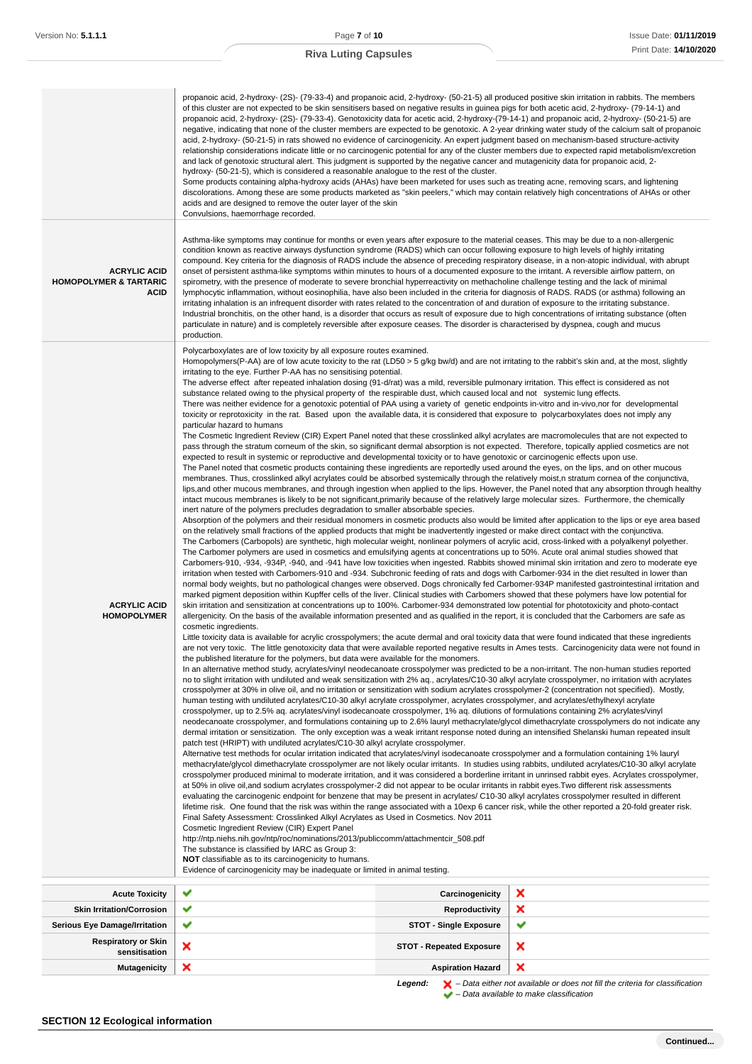| <b>ACRYLIC ACID</b><br><b>HOMOPOLYMER &amp; TARTARIC</b><br><b>ACID</b> | propanoic acid, 2-hydroxy- (2S)- (79-33-4) and propanoic acid, 2-hydroxy- (50-21-5) all produced positive skin irritation in rabbits. The members<br>of this cluster are not expected to be skin sensitisers based on negative results in guinea pigs for both acetic acid, 2-hydroxy- (79-14-1) and<br>propanoic acid, 2-hydroxy- (2S)- (79-33-4). Genotoxicity data for acetic acid, 2-hydroxy-(79-14-1) and propanoic acid, 2-hydroxy- (50-21-5) are<br>negative, indicating that none of the cluster members are expected to be genotoxic. A 2-year drinking water study of the calcium salt of propanoic<br>acid, 2-hydroxy- (50-21-5) in rats showed no evidence of carcinogenicity. An expert judgment based on mechanism-based structure-activity<br>relationship considerations indicate little or no carcinogenic potential for any of the cluster members due to expected rapid metabolism/excretion<br>and lack of genotoxic structural alert. This judgment is supported by the negative cancer and mutagenicity data for propanoic acid, 2-<br>hydroxy- (50-21-5), which is considered a reasonable analogue to the rest of the cluster.<br>Some products containing alpha-hydroxy acids (AHAs) have been marketed for uses such as treating acne, removing scars, and lightening<br>discolorations. Among these are some products marketed as "skin peelers," which may contain relatively high concentrations of AHAs or other<br>acids and are designed to remove the outer layer of the skin<br>Convulsions, haemorrhage recorded.<br>Asthma-like symptoms may continue for months or even years after exposure to the material ceases. This may be due to a non-allergenic<br>condition known as reactive airways dysfunction syndrome (RADS) which can occur following exposure to high levels of highly irritating<br>compound. Key criteria for the diagnosis of RADS include the absence of preceding respiratory disease, in a non-atopic individual, with abrupt<br>onset of persistent asthma-like symptoms within minutes to hours of a documented exposure to the irritant. A reversible airflow pattern, on<br>spirometry, with the presence of moderate to severe bronchial hyperreactivity on methacholine challenge testing and the lack of minimal<br>lymphocytic inflammation, without eosinophilia, have also been included in the criteria for diagnosis of RADS. RADS (or asthma) following an<br>irritating inhalation is an infrequent disorder with rates related to the concentration of and duration of exposure to the irritating substance.<br>Industrial bronchitis, on the other hand, is a disorder that occurs as result of exposure due to high concentrations of irritating substance (often<br>particulate in nature) and is completely reversible after exposure ceases. The disorder is characterised by dyspnea, cough and mucus                                                                                                                                                                                                                                                                                                                                                                                                                                                                                                                                                                                                                                                                                                                                                                                                                                                                                                                                                                                                                                                                                                                                                                                                                                                                                                                                                                                                                                                                                                                                                                                                                                                                                                                                                                                                                                                                                                                                                                                                                                                                                                                                                                                                                                                                                                                                                                                                                                                                                                                                                                                                                                                                                                                                                                                                                                                                                                                                                                                                                                                                                                                                                                                                                                                                                                                                                                                                                                                                                                                                                                                                          |   |  |
|-------------------------------------------------------------------------|-------------------------------------------------------------------------------------------------------------------------------------------------------------------------------------------------------------------------------------------------------------------------------------------------------------------------------------------------------------------------------------------------------------------------------------------------------------------------------------------------------------------------------------------------------------------------------------------------------------------------------------------------------------------------------------------------------------------------------------------------------------------------------------------------------------------------------------------------------------------------------------------------------------------------------------------------------------------------------------------------------------------------------------------------------------------------------------------------------------------------------------------------------------------------------------------------------------------------------------------------------------------------------------------------------------------------------------------------------------------------------------------------------------------------------------------------------------------------------------------------------------------------------------------------------------------------------------------------------------------------------------------------------------------------------------------------------------------------------------------------------------------------------------------------------------------------------------------------------------------------------------------------------------------------------------------------------------------------------------------------------------------------------------------------------------------------------------------------------------------------------------------------------------------------------------------------------------------------------------------------------------------------------------------------------------------------------------------------------------------------------------------------------------------------------------------------------------------------------------------------------------------------------------------------------------------------------------------------------------------------------------------------------------------------------------------------------------------------------------------------------------------------------------------------------------------------------------------------------------------------------------------------------------------------------------------------------------------------------------------------------------------------------------------------------------------------------------------------------------------------------------------------------------------------------------------------------------------------------------------------------------------------------------------------------------------------------------------------------------------------------------------------------------------------------------------------------------------------------------------------------------------------------------------------------------------------------------------------------------------------------------------------------------------------------------------------------------------------------------------------------------------------------------------------------------------------------------------------------------------------------------------------------------------------------------------------------------------------------------------------------------------------------------------------------------------------------------------------------------------------------------------------------------------------------------------------------------------------------------------------------------------------------------------------------------------------------------------------------------------------------------------------------------------------------------------------------------------------------------------------------------------------------------------------------------------------------------------------------------------------------------------------------------------------------------------------------------------------------------------------------------------------------------------------------------------------------------------------------------------------------------------------------------------------------------------------------------------------------------------------------------------------------------------------------------------------------------------------------------------------------------------------------------------------------------------------------------------------------------------------------------------------------------------------------------------------------------------------------------------------------------------------------------------------------------------------------------------------------------------------------------------------------------------------------------------------------------------------------------------------------------------------------------------------------------------------------------------------------------------------------------------------------------------------------------------------------------------------------------------------------------------------------------------------------------------------------------------------------------------------------------------------------------------------------------------------------------------------------------------------------------------------------------------------------------------------------------------------------------------------------------------------------------------------------------------------------------------------------------------------------------------------------------------------------------------------------------------------------------------------|---|--|
| <b>ACRYLIC ACID</b><br><b>HOMOPOLYMER</b>                               | production.<br>Polycarboxylates are of low toxicity by all exposure routes examined.<br>Homopolymers(P-AA) are of low acute toxicity to the rat (LD50 > 5 g/kg bw/d) and are not irritating to the rabbit's skin and, at the most, slightly<br>irritating to the eye. Further P-AA has no sensitising potential.<br>The adverse effect after repeated inhalation dosing (91-d/rat) was a mild, reversible pulmonary irritation. This effect is considered as not<br>substance related owing to the physical property of the respirable dust, which caused local and not systemic lung effects.<br>There was neither evidence for a genotoxic potential of PAA using a variety of genetic endpoints in-vitro and in-vivo, nor for developmental<br>toxicity or reprotoxicity in the rat. Based upon the available data, it is considered that exposure to polycarboxylates does not imply any<br>particular hazard to humans<br>The Cosmetic Ingredient Review (CIR) Expert Panel noted that these crosslinked alkyl acrylates are macromolecules that are not expected to<br>pass through the stratum corneum of the skin, so significant dermal absorption is not expected. Therefore, topically applied cosmetics are not<br>expected to result in systemic or reproductive and developmental toxicity or to have genotoxic or carcinogenic effects upon use.<br>The Panel noted that cosmetic products containing these ingredients are reportedly used around the eyes, on the lips, and on other mucous<br>membranes. Thus, crosslinked alkyl acrylates could be absorbed systemically through the relatively moist, n stratum cornea of the conjunctiva,<br>lips, and other mucous membranes, and through ingestion when applied to the lips. However, the Panel noted that any absorption through healthy<br>intact mucous membranes is likely to be not significant, primarily because of the relatively large molecular sizes. Furthermore, the chemically<br>inert nature of the polymers precludes degradation to smaller absorbable species.<br>Absorption of the polymers and their residual monomers in cosmetic products also would be limited after application to the lips or eye area based<br>on the relatively small fractions of the applied products that might be inadvertently ingested or make direct contact with the conjunctiva.<br>The Carbomers (Carbopols) are synthetic, high molecular weight, nonlinear polymers of acrylic acid, cross-linked with a polyalkenyl polyether.<br>The Carbomer polymers are used in cosmetics and emulsifying agents at concentrations up to 50%. Acute oral animal studies showed that<br>Carbomers-910, -934, -934P, -940, and -941 have low toxicities when ingested. Rabbits showed minimal skin irritation and zero to moderate eye<br>irritation when tested with Carbomers-910 and -934. Subchronic feeding of rats and dogs with Carbomer-934 in the diet resulted in lower than<br>normal body weights, but no pathological changes were observed. Dogs chronically fed Carbomer-934P manifested gastrointestinal irritation and<br>marked pigment deposition within Kupffer cells of the liver. Clinical studies with Carbomers showed that these polymers have low potential for<br>skin irritation and sensitization at concentrations up to 100%. Carbomer-934 demonstrated low potential for phototoxicity and photo-contact<br>allergenicity. On the basis of the available information presented and as qualified in the report, it is concluded that the Carbomers are safe as<br>cosmetic ingredients.<br>Little toxicity data is available for acrylic crosspolymers; the acute dermal and oral toxicity data that were found indicated that these ingredients<br>are not very toxic. The little genotoxicity data that were available reported negative results in Ames tests. Carcinogenicity data were not found in<br>the published literature for the polymers, but data were available for the monomers.<br>In an alternative method study, acrylates/vinyl neodecanoate crosspolymer was predicted to be a non-irritant. The non-human studies reported<br>no to slight irritation with undiluted and weak sensitization with 2% aq., acrylates/C10-30 alkyl acrylate crosspolymer, no irritation with acrylates<br>crosspolymer at 30% in olive oil, and no irritation or sensitization with sodium acrylates crosspolymer-2 (concentration not specified). Mostly,<br>human testing with undiluted acrylates/C10-30 alkyl acrylate crosspolymer, acrylates crosspolymer, and acrylates/ethylhexyl acrylate<br>crosspolymer, up to 2.5% aq. acrylates/vinyl isodecanoate crosspolymer, 1% aq. dilutions of formulations containing 2% acrylates/vinyl<br>neodecanoate crosspolymer, and formulations containing up to 2.6% lauryl methacrylate/glycol dimethacrylate crosspolymers do not indicate any<br>dermal irritation or sensitization. The only exception was a weak irritant response noted during an intensified Shelanski human repeated insult<br>patch test (HRIPT) with undiluted acrylates/C10-30 alkyl acrylate crosspolymer.<br>Alternative test methods for ocular irritation indicated that acrylates/vinyl isodecanoate crosspolymer and a formulation containing 1% lauryl<br>methacrylate/glycol dimethacrylate crosspolymer are not likely ocular irritants. In studies using rabbits, undiluted acrylates/C10-30 alkyl acrylate<br>crosspolymer produced minimal to moderate irritation, and it was considered a borderline irritant in unrinsed rabbit eyes. Acrylates crosspolymer,<br>at 50% in olive oil, and sodium acrylates crosspolymer-2 did not appear to be ocular irritants in rabbit eyes. Two different risk assessments<br>evaluating the carcinogenic endpoint for benzene that may be present in acrylates/ C10-30 alkyl acrylates crosspolymer resulted in different<br>lifetime risk. One found that the risk was within the range associated with a 10exp 6 cancer risk, while the other reported a 20-fold greater risk.<br>Final Safety Assessment: Crosslinked Alkyl Acrylates as Used in Cosmetics. Nov 2011<br>Cosmetic Ingredient Review (CIR) Expert Panel<br>http://ntp.niehs.nih.gov/ntp/roc/nominations/2013/publiccomm/attachmentcir_508.pdf<br>The substance is classified by IARC as Group 3:<br><b>NOT</b> classifiable as to its carcinogenicity to humans.<br>Evidence of carcinogenicity may be inadequate or limited in animal testing. |   |  |
| <b>Acute Toxicity</b>                                                   | ✔<br>Carcinogenicity                                                                                                                                                                                                                                                                                                                                                                                                                                                                                                                                                                                                                                                                                                                                                                                                                                                                                                                                                                                                                                                                                                                                                                                                                                                                                                                                                                                                                                                                                                                                                                                                                                                                                                                                                                                                                                                                                                                                                                                                                                                                                                                                                                                                                                                                                                                                                                                                                                                                                                                                                                                                                                                                                                                                                                                                                                                                                                                                                                                                                                                                                                                                                                                                                                                                                                                                                                                                                                                                                                                                                                                                                                                                                                                                                                                                                                                                                                                                                                                                                                                                                                                                                                                                                                                                                                                                                                                                                                                                                                                                                                                                                                                                                                                                                                                                                                                                                                                                                                                                                                                                                                                                                                                                                                                                                                                                                                                                                                                                                                                                                                                                                                                                                                                                                                                                                                                                                                                                                                                                                                                                                                                                                                                                                                                                                                                                                                                                                                                                            | × |  |
| <b>Skin Irritation/Corrosion</b>                                        | ✔<br><b>Reproductivity</b>                                                                                                                                                                                                                                                                                                                                                                                                                                                                                                                                                                                                                                                                                                                                                                                                                                                                                                                                                                                                                                                                                                                                                                                                                                                                                                                                                                                                                                                                                                                                                                                                                                                                                                                                                                                                                                                                                                                                                                                                                                                                                                                                                                                                                                                                                                                                                                                                                                                                                                                                                                                                                                                                                                                                                                                                                                                                                                                                                                                                                                                                                                                                                                                                                                                                                                                                                                                                                                                                                                                                                                                                                                                                                                                                                                                                                                                                                                                                                                                                                                                                                                                                                                                                                                                                                                                                                                                                                                                                                                                                                                                                                                                                                                                                                                                                                                                                                                                                                                                                                                                                                                                                                                                                                                                                                                                                                                                                                                                                                                                                                                                                                                                                                                                                                                                                                                                                                                                                                                                                                                                                                                                                                                                                                                                                                                                                                                                                                                                                      | × |  |
| <b>Serious Eye Damage/Irritation</b>                                    | ✔<br><b>STOT - Single Exposure</b>                                                                                                                                                                                                                                                                                                                                                                                                                                                                                                                                                                                                                                                                                                                                                                                                                                                                                                                                                                                                                                                                                                                                                                                                                                                                                                                                                                                                                                                                                                                                                                                                                                                                                                                                                                                                                                                                                                                                                                                                                                                                                                                                                                                                                                                                                                                                                                                                                                                                                                                                                                                                                                                                                                                                                                                                                                                                                                                                                                                                                                                                                                                                                                                                                                                                                                                                                                                                                                                                                                                                                                                                                                                                                                                                                                                                                                                                                                                                                                                                                                                                                                                                                                                                                                                                                                                                                                                                                                                                                                                                                                                                                                                                                                                                                                                                                                                                                                                                                                                                                                                                                                                                                                                                                                                                                                                                                                                                                                                                                                                                                                                                                                                                                                                                                                                                                                                                                                                                                                                                                                                                                                                                                                                                                                                                                                                                                                                                                                                              | ✔ |  |
| <b>Respiratory or Skin</b><br>sensitisation                             | ×<br>×<br><b>STOT - Repeated Exposure</b>                                                                                                                                                                                                                                                                                                                                                                                                                                                                                                                                                                                                                                                                                                                                                                                                                                                                                                                                                                                                                                                                                                                                                                                                                                                                                                                                                                                                                                                                                                                                                                                                                                                                                                                                                                                                                                                                                                                                                                                                                                                                                                                                                                                                                                                                                                                                                                                                                                                                                                                                                                                                                                                                                                                                                                                                                                                                                                                                                                                                                                                                                                                                                                                                                                                                                                                                                                                                                                                                                                                                                                                                                                                                                                                                                                                                                                                                                                                                                                                                                                                                                                                                                                                                                                                                                                                                                                                                                                                                                                                                                                                                                                                                                                                                                                                                                                                                                                                                                                                                                                                                                                                                                                                                                                                                                                                                                                                                                                                                                                                                                                                                                                                                                                                                                                                                                                                                                                                                                                                                                                                                                                                                                                                                                                                                                                                                                                                                                                                       |   |  |
| <b>Mutagenicity</b>                                                     | ×<br><b>Aspiration Hazard</b>                                                                                                                                                                                                                                                                                                                                                                                                                                                                                                                                                                                                                                                                                                                                                                                                                                                                                                                                                                                                                                                                                                                                                                                                                                                                                                                                                                                                                                                                                                                                                                                                                                                                                                                                                                                                                                                                                                                                                                                                                                                                                                                                                                                                                                                                                                                                                                                                                                                                                                                                                                                                                                                                                                                                                                                                                                                                                                                                                                                                                                                                                                                                                                                                                                                                                                                                                                                                                                                                                                                                                                                                                                                                                                                                                                                                                                                                                                                                                                                                                                                                                                                                                                                                                                                                                                                                                                                                                                                                                                                                                                                                                                                                                                                                                                                                                                                                                                                                                                                                                                                                                                                                                                                                                                                                                                                                                                                                                                                                                                                                                                                                                                                                                                                                                                                                                                                                                                                                                                                                                                                                                                                                                                                                                                                                                                                                                                                                                                                                   | × |  |

Legend:  $\mathsf{X}$  – Data either not available or does not fill the criteria for classification

– Data available to make classification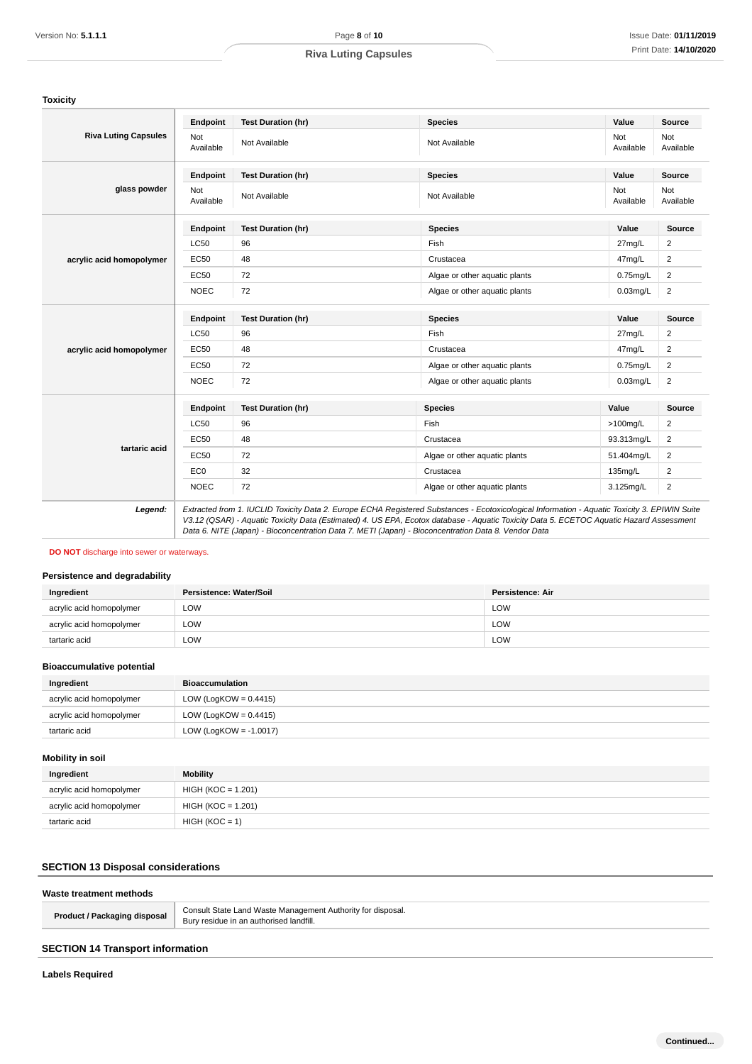|                                                                                                                                                                      |                           | <b>Riva Luting Capsules</b>                                                                                                                                                                                                                    |                                                                |                  | Print Date: 14/10/202      |                  |
|----------------------------------------------------------------------------------------------------------------------------------------------------------------------|---------------------------|------------------------------------------------------------------------------------------------------------------------------------------------------------------------------------------------------------------------------------------------|----------------------------------------------------------------|------------------|----------------------------|------------------|
|                                                                                                                                                                      |                           |                                                                                                                                                                                                                                                |                                                                |                  |                            |                  |
| <b>Toxicity</b>                                                                                                                                                      |                           |                                                                                                                                                                                                                                                |                                                                |                  |                            |                  |
|                                                                                                                                                                      | Endpoint                  | <b>Test Duration (hr)</b>                                                                                                                                                                                                                      | <b>Species</b>                                                 |                  | Value                      | <b>Source</b>    |
| <b>Riva Luting Capsules</b>                                                                                                                                          | Not<br>Available          | Not Available                                                                                                                                                                                                                                  | Not Available                                                  |                  | Not<br>Available           | Not<br>Available |
|                                                                                                                                                                      | Endpoint                  | <b>Test Duration (hr)</b>                                                                                                                                                                                                                      | <b>Species</b>                                                 |                  | Value                      | Source           |
| glass powder                                                                                                                                                         | Not<br>Available          | Not Available                                                                                                                                                                                                                                  | Not Available                                                  |                  | Not<br>Available           | Not<br>Available |
|                                                                                                                                                                      | Endpoint                  | <b>Test Duration (hr)</b>                                                                                                                                                                                                                      | <b>Species</b>                                                 |                  | Value                      | Source           |
|                                                                                                                                                                      | <b>LC50</b>               | 96                                                                                                                                                                                                                                             | Fish                                                           |                  | 27mg/L                     | $\overline{c}$   |
| acrylic acid homopolymer                                                                                                                                             | EC50                      | 48                                                                                                                                                                                                                                             | Crustacea                                                      |                  | 47mg/L                     | $\overline{c}$   |
|                                                                                                                                                                      | EC50                      | 72                                                                                                                                                                                                                                             | Algae or other aquatic plants                                  |                  | $0.75$ mg/L                | $\overline{2}$   |
|                                                                                                                                                                      | <b>NOEC</b>               | 72                                                                                                                                                                                                                                             | Algae or other aquatic plants                                  |                  | $0.03$ mg/L                | $\sqrt{2}$       |
|                                                                                                                                                                      | Endpoint                  | <b>Test Duration (hr)</b>                                                                                                                                                                                                                      | <b>Species</b>                                                 |                  | Value                      | <b>Source</b>    |
|                                                                                                                                                                      | <b>LC50</b>               | 96                                                                                                                                                                                                                                             | Fish                                                           |                  | 27mg/L                     | $\overline{c}$   |
|                                                                                                                                                                      | EC50                      | 48                                                                                                                                                                                                                                             | Crustacea                                                      |                  |                            | $\overline{c}$   |
| acrylic acid homopolymer                                                                                                                                             | EC50                      | 72                                                                                                                                                                                                                                             |                                                                |                  | 47mg/L                     | $\sqrt{2}$       |
|                                                                                                                                                                      | <b>NOEC</b>               | 72                                                                                                                                                                                                                                             | Algae or other aquatic plants<br>Algae or other aquatic plants |                  | $0.75$ mg/L<br>$0.03$ mg/L | $\overline{2}$   |
|                                                                                                                                                                      |                           |                                                                                                                                                                                                                                                |                                                                |                  |                            |                  |
|                                                                                                                                                                      | Endpoint                  | <b>Test Duration (hr)</b>                                                                                                                                                                                                                      | <b>Species</b>                                                 |                  | Value                      | Source           |
|                                                                                                                                                                      | <b>LC50</b>               | 96                                                                                                                                                                                                                                             | Fish                                                           |                  | $>100$ mg/L                | 2                |
| tartaric acid                                                                                                                                                        | EC50                      | 48                                                                                                                                                                                                                                             | Crustacea                                                      |                  | 93.313mg/L                 | $\overline{c}$   |
|                                                                                                                                                                      |                           |                                                                                                                                                                                                                                                | Algae or other aquatic plants                                  |                  | 51.404mg/L                 | $\overline{c}$   |
|                                                                                                                                                                      | EC50                      | 72                                                                                                                                                                                                                                             |                                                                |                  |                            |                  |
|                                                                                                                                                                      | EC <sub>0</sub>           | 32                                                                                                                                                                                                                                             | Crustacea                                                      |                  | 135mg/L                    | $\sqrt{2}$       |
| Legend:                                                                                                                                                              | <b>NOEC</b>               | 72<br>Extracted from 1. IUCLID Toxicity Data 2. Europe ECHA Registered Substances - Ecotoxicological Information - Aquatic Toxicity 3. EPIWIN Suite                                                                                            | Algae or other aquatic plants                                  |                  | 3.125mg/L                  | $\overline{2}$   |
| <b>DO NOT</b> discharge into sewer or waterways.                                                                                                                     |                           | V3.12 (QSAR) - Aquatic Toxicity Data (Estimated) 4. US EPA, Ecotox database - Aquatic Toxicity Data 5. ECETOC Aquatic Hazard Assessment<br>Data 6. NITE (Japan) - Bioconcentration Data 7. METI (Japan) - Bioconcentration Data 8. Vendor Data |                                                                |                  |                            |                  |
|                                                                                                                                                                      |                           |                                                                                                                                                                                                                                                |                                                                |                  |                            |                  |
| Ingredient                                                                                                                                                           | Persistence: Water/Soil   |                                                                                                                                                                                                                                                |                                                                | Persistence: Air |                            |                  |
| acrylic acid homopolymer                                                                                                                                             | <b>LOW</b>                |                                                                                                                                                                                                                                                |                                                                | LOW              |                            |                  |
| acrylic acid homopolymer                                                                                                                                             | LOW                       |                                                                                                                                                                                                                                                |                                                                | LOW              |                            |                  |
| tartaric acid                                                                                                                                                        | LOW                       |                                                                                                                                                                                                                                                |                                                                | LOW              |                            |                  |
|                                                                                                                                                                      |                           |                                                                                                                                                                                                                                                |                                                                |                  |                            |                  |
| Ingredient                                                                                                                                                           | <b>Bioaccumulation</b>    |                                                                                                                                                                                                                                                |                                                                |                  |                            |                  |
| acrylic acid homopolymer                                                                                                                                             | LOW (LogKOW = $0.4415$ )  |                                                                                                                                                                                                                                                |                                                                |                  |                            |                  |
| acrylic acid homopolymer                                                                                                                                             | LOW (LogKOW = $0.4415$ )  |                                                                                                                                                                                                                                                |                                                                |                  |                            |                  |
| tartaric acid                                                                                                                                                        | LOW (LogKOW = $-1.0017$ ) |                                                                                                                                                                                                                                                |                                                                |                  |                            |                  |
|                                                                                                                                                                      |                           |                                                                                                                                                                                                                                                |                                                                |                  |                            |                  |
| Ingredient                                                                                                                                                           | <b>Mobility</b>           |                                                                                                                                                                                                                                                |                                                                |                  |                            |                  |
| acrylic acid homopolymer                                                                                                                                             | $HIGH (KOC = 1.201)$      |                                                                                                                                                                                                                                                |                                                                |                  |                            |                  |
| acrylic acid homopolymer                                                                                                                                             | $HIGH (KOC = 1.201)$      |                                                                                                                                                                                                                                                |                                                                |                  |                            |                  |
|                                                                                                                                                                      | $HIGH (KOC = 1)$          |                                                                                                                                                                                                                                                |                                                                |                  |                            |                  |
| tartaric acid                                                                                                                                                        |                           |                                                                                                                                                                                                                                                |                                                                |                  |                            |                  |
| Persistence and degradability<br><b>Bioaccumulative potential</b><br><b>Mobility in soil</b><br><b>SECTION 13 Disposal considerations</b><br>Waste treatment methods |                           |                                                                                                                                                                                                                                                |                                                                |                  |                            |                  |
| <b>Product / Packaging disposal</b>                                                                                                                                  |                           | Consult State Land Waste Management Authority for disposal.<br>Bury residue in an authorised landfill.                                                                                                                                         |                                                                |                  |                            |                  |
| <b>SECTION 14 Transport information</b>                                                                                                                              |                           |                                                                                                                                                                                                                                                |                                                                |                  |                            |                  |

### **DO NOT** discharge into sewer or waterways.

# **Persistence and degradability**

| Ingredient               | Persistence: Water/Soil | <b>Persistence: Air</b> |
|--------------------------|-------------------------|-------------------------|
| acrylic acid homopolymer | LOW                     | LOW                     |
| acrylic acid homopolymer | LOW                     | LOW                     |
| tartaric acid            | LOW                     | LOW                     |

### **Bioaccumulative potential**

| Ingredient               | <b>Bioaccumulation</b>   |
|--------------------------|--------------------------|
| acrylic acid homopolymer | LOW (LogKOW = $0.4415$ ) |
| acrylic acid homopolymer | LOW (LogKOW = $0.4415$ ) |
| tartaric acid            | LOW (LogKOW = -1.0017)   |

# **Mobility in soil**

| Ingredient               | Mobility             |
|--------------------------|----------------------|
| acrylic acid homopolymer | $HIGH (KOC = 1.201)$ |
| acrylic acid homopolymer | $HIGH (KOC = 1.201)$ |
| tartaric acid            | $HIGH (KOC = 1)$     |

# **SECTION 13 Disposal considerations**

## **Waste treatment methods**

| <b>Product / Packaging disposal</b> | Consult State Land Waste Management Authority for disposal.<br>Bury residue in an authorised landfill. |
|-------------------------------------|--------------------------------------------------------------------------------------------------------|
|                                     |                                                                                                        |

# **SECTION 14 Transport information**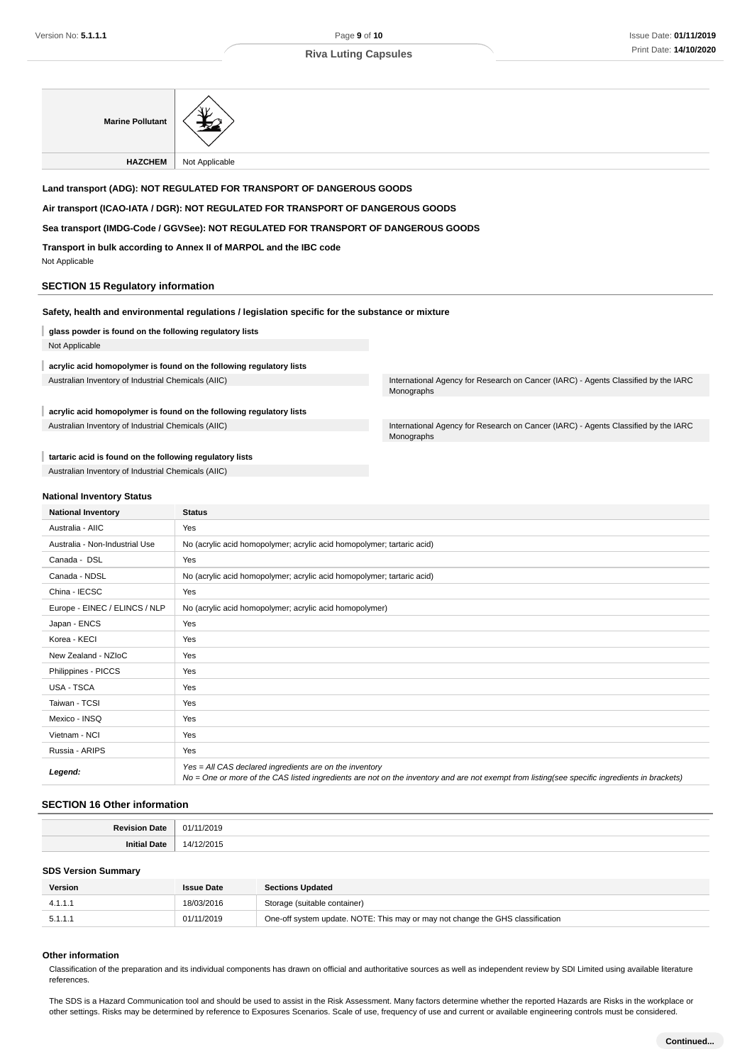| <b>Marine Pollutant</b>                                  |                                                                                                  |                                                                                                  |  |  |
|----------------------------------------------------------|--------------------------------------------------------------------------------------------------|--------------------------------------------------------------------------------------------------|--|--|
| <b>HAZCHEM</b>                                           | Not Applicable                                                                                   |                                                                                                  |  |  |
|                                                          | Land transport (ADG): NOT REGULATED FOR TRANSPORT OF DANGEROUS GOODS                             |                                                                                                  |  |  |
|                                                          | Air transport (ICAO-IATA / DGR): NOT REGULATED FOR TRANSPORT OF DANGEROUS GOODS                  |                                                                                                  |  |  |
|                                                          | Sea transport (IMDG-Code / GGVSee): NOT REGULATED FOR TRANSPORT OF DANGEROUS GOODS               |                                                                                                  |  |  |
| Not Applicable                                           | Transport in bulk according to Annex II of MARPOL and the IBC code                               |                                                                                                  |  |  |
| <b>SECTION 15 Regulatory information</b>                 |                                                                                                  |                                                                                                  |  |  |
|                                                          | Safety, health and environmental regulations / legislation specific for the substance or mixture |                                                                                                  |  |  |
| glass powder is found on the following regulatory lists  |                                                                                                  |                                                                                                  |  |  |
| Not Applicable                                           |                                                                                                  |                                                                                                  |  |  |
|                                                          | acrylic acid homopolymer is found on the following regulatory lists                              |                                                                                                  |  |  |
| Australian Inventory of Industrial Chemicals (AIIC)      |                                                                                                  | International Agency for Research on Cancer (IARC) - Agents Classified by the IARC<br>Monographs |  |  |
|                                                          | acrylic acid homopolymer is found on the following regulatory lists                              |                                                                                                  |  |  |
| Australian Inventory of Industrial Chemicals (AIIC)      |                                                                                                  | International Agency for Research on Cancer (IARC) - Agents Classified by the IARC<br>Monographs |  |  |
| tartaric acid is found on the following regulatory lists |                                                                                                  |                                                                                                  |  |  |
| Australian Inventory of Industrial Chemicals (AIIC)      |                                                                                                  |                                                                                                  |  |  |
|                                                          |                                                                                                  |                                                                                                  |  |  |
| <b>National Inventory Status</b>                         |                                                                                                  |                                                                                                  |  |  |
| <b>National Inventory</b>                                | <b>Status</b>                                                                                    |                                                                                                  |  |  |
| Australia - AIIC                                         | Yes                                                                                              |                                                                                                  |  |  |
| Australia - Non-Industrial Use                           | No (acrylic acid homopolymer; acrylic acid homopolymer; tartaric acid)                           |                                                                                                  |  |  |
| Canada - DSL                                             | Yes                                                                                              |                                                                                                  |  |  |
| Canada - NDSL                                            | No (acrylic acid homopolymer; acrylic acid homopolymer; tartaric acid)                           |                                                                                                  |  |  |
| China - IECSC                                            | Yes                                                                                              |                                                                                                  |  |  |
| Europe - EINEC / ELINCS / NLP                            | No (acrylic acid homopolymer; acrylic acid homopolymer)                                          |                                                                                                  |  |  |

#### **SECTION 16 Other information**

Yes = All CAS declared ingredients are on the inventory<br>
No = One or more of the CAS light ingredients are not at

 $\mathcal{L}_{\mathcal{V}}$ 

Japan - ENCS Yes Korea - KECI Yes New Zealand - NZIoC Yes Philippines - PICCS Yes USA - TSCA Yes Taiwan - TCSI Yes Mexico - INSQ Yes Vietnam - NCI Yes Russia - ARIPS Yes

| <b>Dovicion</b><br><b>TOTAL</b><br>au | 2019<br>้า1.             |
|---------------------------------------|--------------------------|
| Init                                  | $\overline{\phantom{a}}$ |
| Jatr                                  | $\sim$                   |

No = One or more of the CAS listed ingredients are not on the inventory and are not exempt from listing(see specific ingredients in brackets)

## **SDS Version Summary**

| <b>Version</b> | <b>Issue Date</b> | <b>Sections Updated</b>                                                        |
|----------------|-------------------|--------------------------------------------------------------------------------|
|                | 18/03/2016        | Storage (suitable container)                                                   |
| 5.1.1.1        | 01/11/2019        | One-off system update. NOTE: This may or may not change the GHS classification |

#### **Other information**

Classification of the preparation and its individual components has drawn on official and authoritative sources as well as independent review by SDI Limited using available literature references.

The SDS is a Hazard Communication tool and should be used to assist in the Risk Assessment. Many factors determine whether the reported Hazards are Risks in the workplace or other settings. Risks may be determined by reference to Exposures Scenarios. Scale of use, frequency of use and current or available engineering controls must be considered.